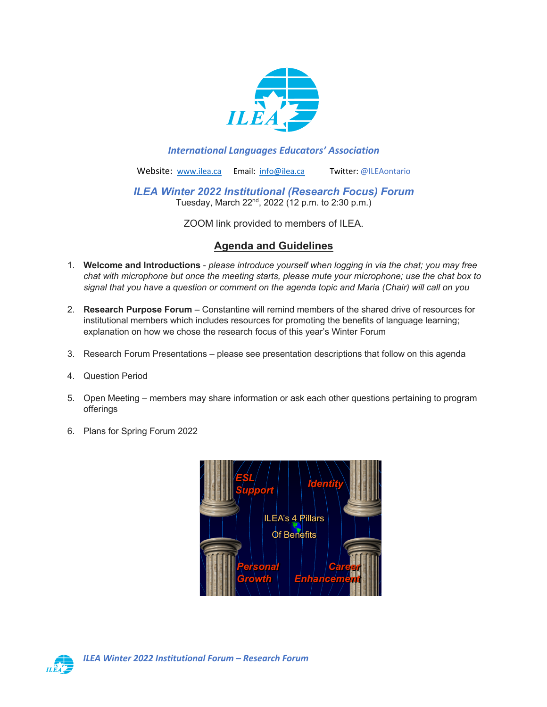

### *International Languages Educators' Association*

Website: www.ilea.ca Email: info@ilea.ca Twitter: @ILEAontario

*ILEA Winter 2022 Institutional (Research Focus) Forum*  Tuesday, March 22<sup>nd</sup>, 2022 (12 p.m. to 2:30 p.m.)

ZOOM link provided to members of ILEA.

# **Agenda and Guidelines**

- 1. **Welcome and Introductions** *please introduce yourself when logging in via the chat; you may free chat with microphone but once the meeting starts, please mute your microphone; use the chat box to signal that you have a question or comment on the agenda topic and Maria (Chair) will call on you*
- 2. **Research Purpose Forum** Constantine will remind members of the shared drive of resources for institutional members which includes resources for promoting the benefits of language learning; explanation on how we chose the research focus of this year's Winter Forum
- 3. Research Forum Presentations please see presentation descriptions that follow on this agenda
- 4. Question Period
- 5. Open Meeting members may share information or ask each other questions pertaining to program offerings
- 6. Plans for Spring Forum 2022



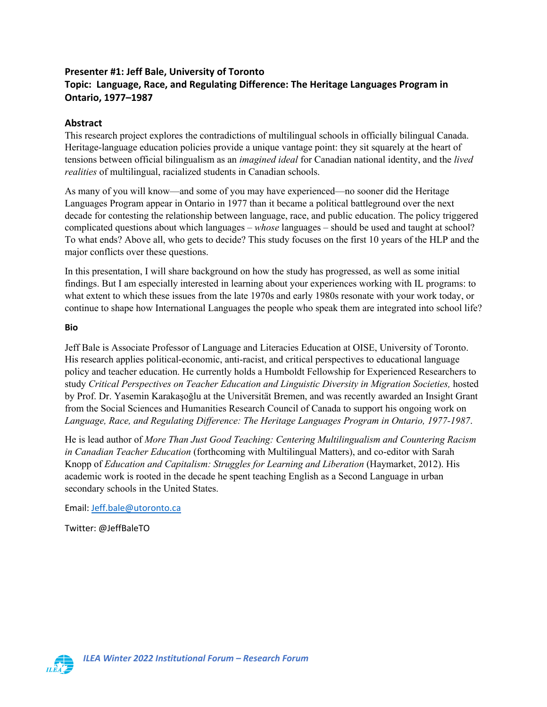# **Presenter #1: Jeff Bale, University of Toronto Topic: Language, Race, and Regulating Difference: The Heritage Languages Program in Ontario, 1977–1987**

## **Abstract**

This research project explores the contradictions of multilingual schools in officially bilingual Canada. Heritage-language education policies provide a unique vantage point: they sit squarely at the heart of tensions between official bilingualism as an *imagined ideal* for Canadian national identity, and the *lived realities* of multilingual, racialized students in Canadian schools.

As many of you will know—and some of you may have experienced—no sooner did the Heritage Languages Program appear in Ontario in 1977 than it became a political battleground over the next decade for contesting the relationship between language, race, and public education. The policy triggered complicated questions about which languages – *whose* languages – should be used and taught at school? To what ends? Above all, who gets to decide? This study focuses on the first 10 years of the HLP and the major conflicts over these questions.

In this presentation, I will share background on how the study has progressed, as well as some initial findings. But I am especially interested in learning about your experiences working with IL programs: to what extent to which these issues from the late 1970s and early 1980s resonate with your work today, or continue to shape how International Languages the people who speak them are integrated into school life?

#### **Bio**

Jeff Bale is Associate Professor of Language and Literacies Education at OISE, University of Toronto. His research applies political-economic, anti-racist, and critical perspectives to educational language policy and teacher education. He currently holds a Humboldt Fellowship for Experienced Researchers to study *Critical Perspectives on Teacher Education and Linguistic Diversity in Migration Societies,* hosted by Prof. Dr. Yasemin Karakaşoğlu at the Universität Bremen, and was recently awarded an Insight Grant from the Social Sciences and Humanities Research Council of Canada to support his ongoing work on *Language, Race, and Regulating Difference: The Heritage Languages Program in Ontario, 1977-1987*.

He is lead author of *More Than Just Good Teaching: Centering Multilingualism and Countering Racism in Canadian Teacher Education* (forthcoming with Multilingual Matters), and co-editor with Sarah Knopp of *Education and Capitalism: Struggles for Learning and Liberation* (Haymarket, 2012). His academic work is rooted in the decade he spent teaching English as a Second Language in urban secondary schools in the United States.

#### Email: Jeff.bale@utoronto.ca

Twitter: @JeffBaleTO

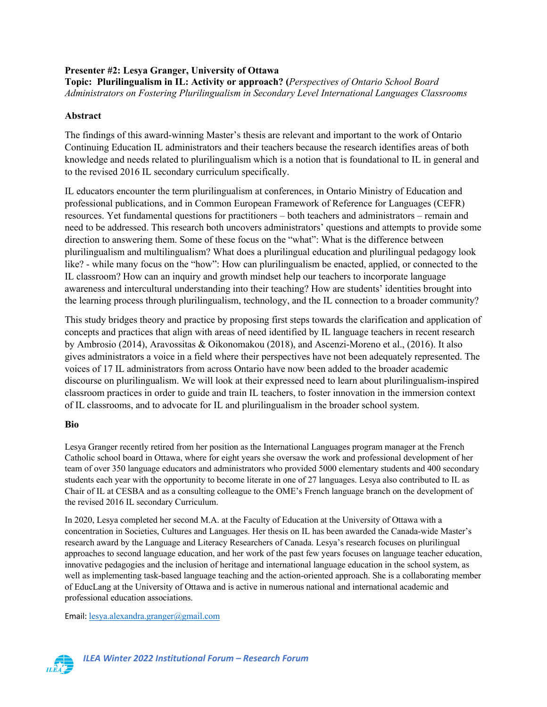### **Presenter #2: Lesya Granger, University of Ottawa Topic: Plurilingualism in IL: Activity or approach? (***Perspectives of Ontario School Board Administrators on Fostering Plurilingualism in Secondary Level International Languages Classrooms*

## **Abstract**

The findings of this award-winning Master's thesis are relevant and important to the work of Ontario Continuing Education IL administrators and their teachers because the research identifies areas of both knowledge and needs related to plurilingualism which is a notion that is foundational to IL in general and to the revised 2016 IL secondary curriculum specifically.

IL educators encounter the term plurilingualism at conferences, in Ontario Ministry of Education and professional publications, and in Common European Framework of Reference for Languages (CEFR) resources. Yet fundamental questions for practitioners – both teachers and administrators – remain and need to be addressed. This research both uncovers administrators' questions and attempts to provide some direction to answering them. Some of these focus on the "what": What is the difference between plurilingualism and multilingualism? What does a plurilingual education and plurilingual pedagogy look like? - while many focus on the "how": How can plurilingualism be enacted, applied, or connected to the IL classroom? How can an inquiry and growth mindset help our teachers to incorporate language awareness and intercultural understanding into their teaching? How are students' identities brought into the learning process through plurilingualism, technology, and the IL connection to a broader community?

This study bridges theory and practice by proposing first steps towards the clarification and application of concepts and practices that align with areas of need identified by IL language teachers in recent research by Ambrosio (2014), Aravossitas & Oikonomakou (2018), and Ascenzi-Moreno et al., (2016). It also gives administrators a voice in a field where their perspectives have not been adequately represented. The voices of 17 IL administrators from across Ontario have now been added to the broader academic discourse on plurilingualism. We will look at their expressed need to learn about plurilingualism-inspired classroom practices in order to guide and train IL teachers, to foster innovation in the immersion context of IL classrooms, and to advocate for IL and plurilingualism in the broader school system.

### **Bio**

Lesya Granger recently retired from her position as the International Languages program manager at the French Catholic school board in Ottawa, where for eight years she oversaw the work and professional development of her team of over 350 language educators and administrators who provided 5000 elementary students and 400 secondary students each year with the opportunity to become literate in one of 27 languages. Lesya also contributed to IL as Chair of IL at CESBA and as a consulting colleague to the OME's French language branch on the development of the revised 2016 IL secondary Curriculum.

In 2020, Lesya completed her second M.A. at the Faculty of Education at the University of Ottawa with a concentration in Societies, Cultures and Languages. Her thesis on IL has been awarded the Canada-wide Master's research award by the Language and Literacy Researchers of Canada. Lesya's research focuses on plurilingual approaches to second language education, and her work of the past few years focuses on language teacher education, innovative pedagogies and the inclusion of heritage and international language education in the school system, as well as implementing task-based language teaching and the action-oriented approach. She is a collaborating member of EducLang at the University of Ottawa and is active in numerous national and international academic and professional education associations.

Email: lesya.alexandra.granger@gmail.com

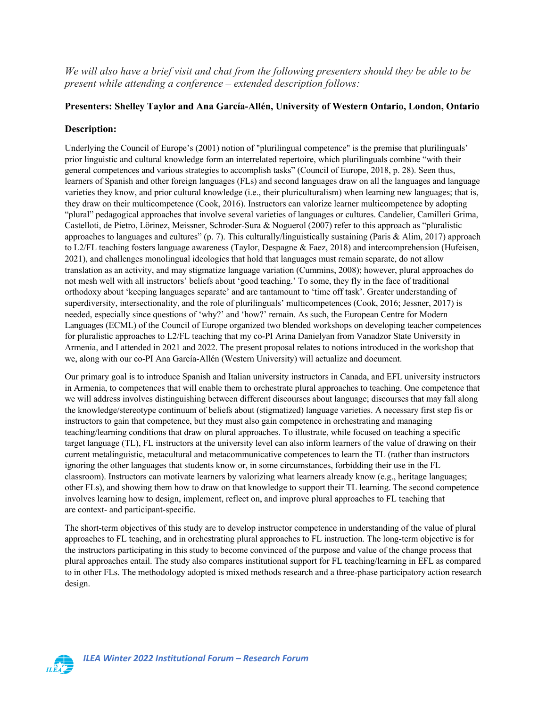*We will also have a brief visit and chat from the following presenters should they be able to be present while attending a conference – extended description follows:*

### **Presenters: Shelley Taylor and Ana García-Allén, University of Western Ontario, London, Ontario**

#### **Description:**

Underlying the Council of Europe's (2001) notion of "plurilingual competence" is the premise that plurilinguals' prior linguistic and cultural knowledge form an interrelated repertoire, which plurilinguals combine "with their general competences and various strategies to accomplish tasks" (Council of Europe, 2018, p. 28). Seen thus, learners of Spanish and other foreign languages (FLs) and second languages draw on all the languages and language varieties they know, and prior cultural knowledge (i.e., their pluriculturalism) when learning new languages; that is, they draw on their multicompetence (Cook, 2016). Instructors can valorize learner multicompetence by adopting "plural" pedagogical approaches that involve several varieties of languages or cultures. Candelier, Camilleri Grima, Castelloti, de Pietro, Lörinez, Meissner, Schroder-Sura & Noguerol (2007) refer to this approach as "pluralistic approaches to languages and cultures" (p. 7). This culturally/linguistically sustaining (Paris & Alim, 2017) approach to L2/FL teaching fosters language awareness (Taylor, Despagne & Faez, 2018) and intercomprehension (Hufeisen, 2021), and challenges monolingual ideologies that hold that languages must remain separate, do not allow translation as an activity, and may stigmatize language variation (Cummins, 2008); however, plural approaches do not mesh well with all instructors' beliefs about 'good teaching.' To some, they fly in the face of traditional orthodoxy about 'keeping languages separate' and are tantamount to 'time off task'. Greater understanding of superdiversity, intersectionality, and the role of plurilinguals' multicompetences (Cook, 2016; Jessner, 2017) is needed, especially since questions of 'why?' and 'how?' remain. As such, the European Centre for Modern Languages (ECML) of the Council of Europe organized two blended workshops on developing teacher competences for pluralistic approaches to L2/FL teaching that my co-PI Arina Danielyan from Vanadzor State University in Armenia, and I attended in 2021 and 2022. The present proposal relates to notions introduced in the workshop that we, along with our co-PI Ana García-Allén (Western University) will actualize and document.

Our primary goal is to introduce Spanish and Italian university instructors in Canada, and EFL university instructors in Armenia, to competences that will enable them to orchestrate plural approaches to teaching. One competence that we will address involves distinguishing between different discourses about language; discourses that may fall along the knowledge/stereotype continuum of beliefs about (stigmatized) language varieties. A necessary first step fis or instructors to gain that competence, but they must also gain competence in orchestrating and managing teaching/learning conditions that draw on plural approaches. To illustrate, while focused on teaching a specific target language (TL), FL instructors at the university level can also inform learners of the value of drawing on their current metalinguistic, metacultural and metacommunicative competences to learn the TL (rather than instructors ignoring the other languages that students know or, in some circumstances, forbidding their use in the FL classroom). Instructors can motivate learners by valorizing what learners already know (e.g., heritage languages; other FLs), and showing them how to draw on that knowledge to support their TL learning. The second competence involves learning how to design, implement, reflect on, and improve plural approaches to FL teaching that are context- and participant-specific.

The short-term objectives of this study are to develop instructor competence in understanding of the value of plural approaches to FL teaching, and in orchestrating plural approaches to FL instruction. The long-term objective is for the instructors participating in this study to become convinced of the purpose and value of the change process that plural approaches entail. The study also compares institutional support for FL teaching/learning in EFL as compared to in other FLs. The methodology adopted is mixed methods research and a three-phase participatory action research design.